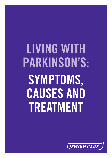# **LIVING WITH PARKINSON'S: SYMPTOMS, CAUSES AND TREATMENT**

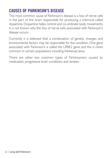# **CAUSES OF PARKINSON'S DISEASE**

The most common cause of Parkinson's disease is a loss of nerve cells in the part of the brain responsible for producing a chemical called dopamine. Dopamine helps control and co-ordinate body movements. It is not known why the loss of nerve cells associated with Parkinson's disease occurs.

Currently, it is believed that a combination of genetic changes and environmental factors may be responsible for the condition. One gene associated with Parkinson's is called the LRRK2 gene and this is more common in certain populations including Ashkenazi Jews.

There are other less common types of Parkinsonism caused by medication, progressive brain conditions and strokes.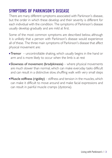# **SYMPTOMS OF PARKINSON'S DISEASE**

There are many different symptoms associated with Parkinson's disease, but the order in which these develop and their severity is different for each individual with the condition. The symptoms of Parkinson's disease usually develop gradually and are mild at first.

Some of the most common symptoms are described below, although it is unlikely that a person with Parkinson's disease would experience all of these. The three main symptoms of Parkinson's disease that affect physical movement are:

- **Tremor** uncontrollable shaking, which usually begins in the hand or arm and is more likely to occur when the limb is at rest
- **Slowness of movement (bradykinesia)** where physical movements are much slower than normal, which can make everyday tasks difficult and can result in a distinctive slow, shuffling walk with very small steps
- $\blacksquare$  Muscle stiffness (rigidity) stiffness and tension in the muscles, which can make it difficult to move around and make facial expressions and can result in painful muscle cramps (dystonia).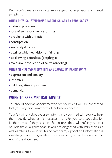Parkinson's disease can also cause a range of other physical and mental symptoms.

### **OTHER PHYSICAL SYMPTOMS THAT ARE CAUSED BY PARKINSON'S**

- **balance problems**
- <sup>n</sup> loss of sense of smell (anosmia)
- **problems with urination**
- $\blacksquare$  constipation
- **sexual dysfunction**
- <sup>n</sup> dizziness, blurred vision or fainting
- <sup>n</sup> swallowing difficulties (dysphagia)
- **Excessive production of saliva (drooling)**

### **OTHER MENTAL SYMPTOMS THAT ARE CAUSED BY PARKINSON'S**

- **depression and anxiety**
- $\blacksquare$ insomnia
- $m$ ild cognitive impairment
- <sup>n</sup> dementia

# **WHEN TO SEEK MEDICAL ADVICE**

You should book an appointment to see your GP if you are concerned that you may have symptoms of Parkinson's disease.

Your GP will ask about your symptoms and your medical history to help them decide whether it's necessary to refer you to a specialist for further tests. If they suspect Parkinson's they will refer you to a neurologist or a geriatrician. If you are diagnosed with Parkinson's, as well as talking to your family and care team, support and information is available, details of organisations who can help you can be found at the end of this document.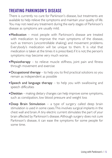# **TREATING PARKINSON'S DISEASE**

There is currently no cure for Parkinson's disease, but treatments are available to help relieve the symptoms and maintain your quality of life. You may not need any treatment during the early stages of Parkinson's disease as symptoms are usually mild.

- $\blacksquare$ Medication most people with Parkinson's disease are treated with medication to improve the main symptoms of the disease, such as tremors (uncontrollable shaking) and movement problems. Everybody's medication will be unique to them. It is vital that medication is taken at the times it is prescribed, if it is not, the person's symptoms may become very much worse.
- **Physiotherapy** to relieve muscle stiffness, joint pain and fitness through movement and exercise
- $\blacksquare$  **Occupational therapy** to help you to find practical solutions so you remain as independent as possible
- **Speech and language therapy** to help you with swallowing and speech difficulties
- $\blacksquare$ Dietitian making dietary changes can help improve some symptoms, such as constipation, low blood pressure and weight loss
- **Deep Brain Stimulation** a type of surgery called deep brain stimulation is used in some cases.This involves surgical implants in the chest wall and brain.A tiny electric current stimulates the part of your brain affected by Parkinson's disease.Although surgery does not cure Parkinson's disease, it can ease the symptoms for some people for some time.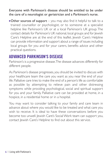Everyone with Parkinson's disease should be entitled to be under the care of a neurologist or geriatrician and a Parkinson's nurse.

 $\blacksquare$  Other sources of support – you may also find it helpful to talk to a trained counsellor or psychologist, or to someone at a specialist helpline like Parkinson's UK or at a local Parkinson's UK group.The contact details for Parkinson's UK national, local groups and for Jewish Care's Helpline are at the end of this leaflet. Jewish Care's Helpline can provide information and support about a range of issues including local groups for you and for your carers, benefits advice and other practical questions.

# **ADVANCED PARKINSON'S DISEASE**

Parkinson's is a progressive disease.The disease advances differently for different people.

As Parkinson's disease progresses, you should be invited to discuss with your healthcare team the care you want as you near the end of your life. Palliative care tries to make the end of a person's life as comfortable as possible by attempting to relieve pain and other distressing symptoms while providing psychological, social and spiritual support for you and your family. Palliative care can be provided at home, in a hospice, in a residential home or in a hospital.

You may want to consider talking to your family and care team in advance about where you would like to be treated and what care you wish to receive. It is ideal to have these conversations before you become too unwell. Jewish Care's Social Work team can support you, contact Jewish Care's Helpline to find out about this service.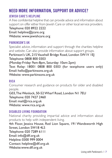# **NEED MORE INFORMATION, SUPPORT OR ADVICE?**

### **JEWISH CARE'S HELPLINE**

A free confidential helpline that can provide advice and information about support on offer either from Jewish Care or other local service providers. Telephone: 020 8922 2222 Email: helpline@jcare.org

Website: www.jewishcare.org

### **PARKINSON'S UK**

Specialist advice, information and support through the charities helpline and website.Can also provide information about support groups. Parkinson's UK, 215 Vauxhall Bridge Road, London SWIV IEI Telephone: 0808 800 0303 (Monday-Friday: 9am-8pm, Saturday: 10am-2pm) Text Relay: 18001 0808 800 0303 (for textphone users only) Email: hello@parkinsons.org.uk Website: www.parkinsons.org.uk

### **RICA**

Consumer research and guidance on products for older and disabled people.

G03,TheWenlock, 50-52Wharf Road, London N1 7EU Telephone: 020 7427 2460 Email: mail@rica.org.uk Website: www.rica.org.uk

### **DISABLED LIVING FOUNDATION**

National charity providing impartial advice and information about products to help with independent living. 4th Floor, Jessica House, Red Lion Square, 191 Wandsworth High Street, London SW18 4LS Telephone: 020 7289 6111 Email: info@dlf.org.uk Helpline: 0300 999 0004 Contact: helpline@dlf.org.uk Website:www.dlf.org.uk